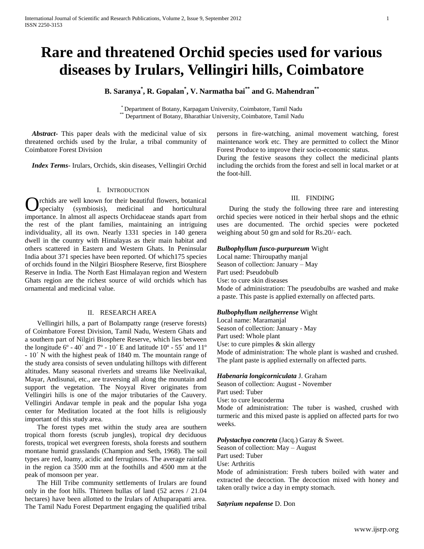# **Rare and threatened Orchid species used for various diseases by Irulars, Vellingiri hills, Coimbatore**

**B. Saranya\* , R. Gopalan\* , V. Narmatha bai\*\* and G. Mahendran\*\***

\* Department of Botany, Karpagam University, Coimbatore, Tamil Nadu <sup>\*</sup> Department of Botany, Bharathiar University, Coimbatore, Tamil Nadu

 *Abstract***-** This paper deals with the medicinal value of six threatened orchids used by the Irular, a tribal community of Coimbatore Forest Division

 *Index Terms*- Irulars, Orchids, skin diseases, Vellingiri Orchid

## I. INTRODUCTION

rchids are well known for their beautiful flowers, botanical specialty (symbiosis), medicinal and horticultural **C** rchids are well known for their beautiful flowers, botanical specialty (symbiosis), medicinal and horticultural importance. In almost all aspects Orchidaceae stands apart from the rest of the plant families, maintaining an intriguing individuality, all its own. Nearly 1331 species in 140 genera dwell in the country with Himalayas as their main habitat and others scattered in Eastern and Western Ghats. In Peninsular India about 371 species have been reported. Of which175 species of orchids found in the Nilgiri Biosphere Reserve, first Biosphere Reserve in India. The North East Himalayan region and Western Ghats region are the richest source of wild orchids which has ornamental and medicinal value.

## II. RESEARCH AREA

 Vellingiri hills, a part of Bolampatty range (reserve forests) of Coimbatore Forest Division, Tamil Nadu, Western Ghats and a southern part of Nilgiri Biosphere Reserve, which lies between the longitude  $6^{\circ}$  - 40 $^{\circ}$  and  $7^{\circ}$  - 10 $^{\circ}$  E and latitude 10 $^{\circ}$  - 55 $^{\circ}$  and 11 $^{\circ}$ - 10´ N with the highest peak of 1840 m. The mountain range of the study area consists of seven undulating hilltops with different altitudes. Many seasonal riverlets and streams like Neelivaikal, Mayar, Andisunai, etc., are traversing all along the mountain and support the vegetation. The Noyyal River originates from Vellingiri hills is one of the major tributaries of the Cauvery. Vellingiri Andavar temple in peak and the popular Isha yoga center for Meditation located at the foot hills is religiously important of this study area.

 The forest types met within the study area are southern tropical thorn forests (scrub jungles), tropical dry deciduous forests, tropical wet evergreen forests, shola forests and southern montane humid grasslands (Champion and Seth, 1968). The soil types are red, loamy, acidic and ferruginous. The average rainfall in the region ca 3500 mm at the foothills and 4500 mm at the peak of monsoon per year.

 The Hill Tribe community settlements of Irulars are found only in the foot hills. Thirteen bullas of land (52 acres / 21.04 hectares) have been allotted to the Irulars of Athuparapatti area. The Tamil Nadu Forest Department engaging the qualified tribal persons in fire-watching, animal movement watching, forest maintenance work etc. They are permitted to collect the Minor Forest Produce to improve their socio-economic status.

During the festive seasons they collect the medicinal plants including the orchids from the forest and sell in local market or at the foot-hill.

## III. FINDING

 During the study the following three rare and interesting orchid species were noticed in their herbal shops and the ethnic uses are documented. The orchid species were pocketed weighing about 50 gm and sold for Rs.20/- each.

#### *Bulbophyllum fusco-purpureum* Wight

Local name: Thiroupathy manjal Season of collection: January – May Part used: Pseudobulb Use: to cure skin diseases Mode of administration: The pseudobulbs are washed and make a paste. This paste is applied externally on affected parts.

#### *Bulbophyllum neilgherrense* Wight

Local name: Maramanjal Season of collection: January - May Part used: Whole plant Use: to cure pimples  $&$  skin allergy Mode of administration: The whole plant is washed and crushed. The plant paste is applied externally on affected parts.

#### *Habenaria longicorniculata* J. Graham

Season of collection: August - November Part used: Tuber Use: to cure leucoderma Mode of administration: The tuber is washed, crushed with turmeric and this mixed paste is applied on affected parts for two weeks.

# *Polystachya concreta* (Jacq.) Garay & Sweet.

Season of collection: May – August Part used: Tuber Use: Arthritis

Mode of administration: Fresh tubers boiled with water and extracted the decoction. The decoction mixed with honey and taken orally twice a day in empty stomach.

*Satyrium nepalense* D. Don